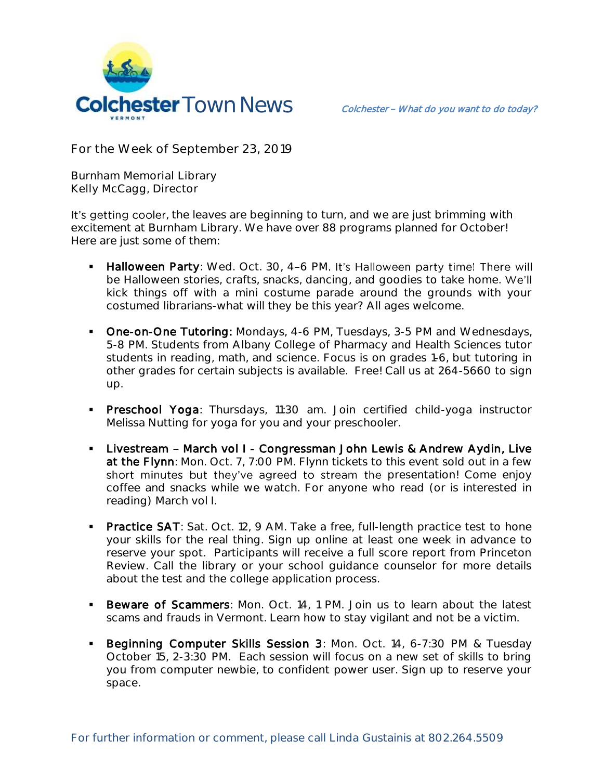

**For the Week of September 23, 2019**

**Burnham Memorial Library Kelly McCagg, Director**

It's getting cooler, the leaves are beginning to turn, and we are just brimming with excitement at Burnham Library. We have over 88 programs planned for October! Here are just some of them:

- Halloween Party: Wed. Oct. 30, 4-6 PM. It's Halloween party time! There will be Halloween stories, crafts, snacks, dancing, and goodies to take home. We'll kick things off with a mini costume parade around the grounds with your costumed librarians-what will they be this year? All ages welcome.
- **Diam-One Tutoring:** Mondays, 4-6 PM, Tuesdays, 3-5 PM and Wednesdays, 5-8 PM. Students from Albany College of Pharmacy and Health Sciences tutor students in reading, math, and science. Focus is on grades 1-6, but tutoring in other grades for certain subjects is available. Free! Call us at 264-5660 to sign up.
- **Preschool Yoga**: Thursdays, 11:30 am. Join certified child-yoga instructor Melissa Nutting for yoga for you and your preschooler.
- **EXA** Livestream March vol I Congressman John Lewis & Andrew Aydin, Live at the Flynn: Mon. Oct. 7, 7:00 PM. Flynn tickets to this event sold out in a few short minutes but they've agreed to stream the presentation! Come enjoy coffee and snacks while we watch. For anyone who read (or is interested in reading) March vol I.
- **Practice SAT:** Sat. Oct. 12, 9 AM. Take a free, full-length practice test to hone your skills for the real thing. Sign up online at least one week in advance to reserve your spot. Participants will receive a full score report from Princeton Review. Call the library or your school guidance counselor for more details about the test and the college application process.
- **Beware of Scammers:** Mon. Oct. 14, 1 PM. Join us to learn about the latest scams and frauds in Vermont. Learn how to stay vigilant and not be a victim.
- **Beginning Computer Skills Session 3: Mon. Oct. 14, 6-7:30 PM & Tuesday** October 15, 2-3:30 PM. Each session will focus on a new set of skills to bring you from computer newbie, to confident power user. Sign up to reserve your space.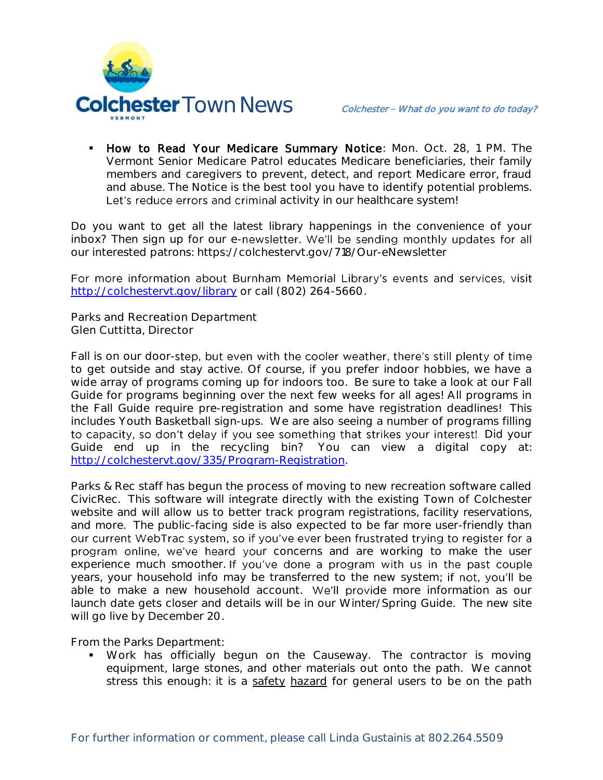

 How to Read Your Medicare Summary Notice: Mon. Oct. 28, 1 PM. The Vermont Senior Medicare Patrol educates Medicare beneficiaries, their family members and caregivers to prevent, detect, and report Medicare error, fraud and abuse. The Notice is the best tool you have to identify potential problems. Let's reduce errors and criminal activity in our healthcare system!

Do you want to get all the latest library happenings in the convenience of your inbox? Then sign up for our e-newsletter. We'll be sending monthly updates for all our interested patrons: https://colchestervt.gov/718/Our-eNewsletter

For more information about Burnham Memorial Library's events and services, visit <http://colchestervt.gov/library> or call (802) 264-5660.

**Parks and Recreation Department Glen Cuttitta, Director**

Fall is on our door-step, but even with the cooler weather, there's still plenty of time to get outside and stay active. Of course, if you prefer indoor hobbies, we have a wide array of programs coming up for indoors too. Be sure to take a look at our Fall Guide for programs beginning over the next few weeks for all ages! All programs in the Fall Guide require pre-registration and some have registration deadlines! This includes Youth Basketball sign-ups. We are also seeing a number of programs filling to capacity, so don't delay if you see something that strikes your interest! Did your Guide end up in the recycling bin? You can view a digital copy at: [http://colchestervt.gov/335/Program-Registration.](http://colchestervt.gov/335/Program-Registration)

Parks & Rec staff has begun the process of moving to new recreation software called CivicRec. This software will integrate directly with the existing Town of Colchester website and will allow us to better track program registrations, facility reservations, and more. The public-facing side is also expected to be far more user-friendly than our current WebTrac system, so if you've ever been frustrated trying to register for a program online, we've heard your concerns and are working to make the user experience much smoother. If you've done a program with us in the past couple years, your household info may be transferred to the new system; if not, you'll be able to make a new household account. We'll provide more information as our launch date gets closer and details will be in our Winter/Spring Guide. The new site will go live by December 20.

From the Parks Department:

 Work has officially begun on the Causeway. The contractor is moving equipment, large stones, and other materials out onto the path. We cannot stress this enough: it is a safety hazard for general users to be on the path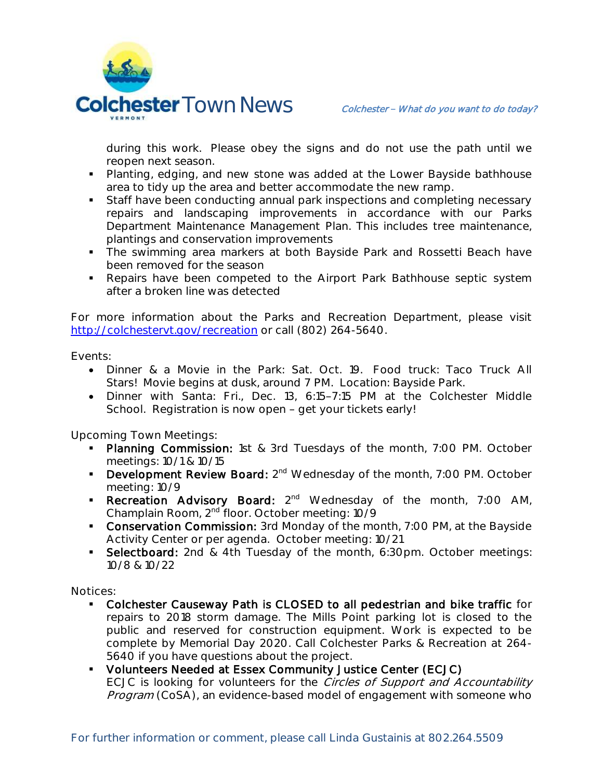

during this work. Please obey the signs and do not use the path until we reopen next season.

- Planting, edging, and new stone was added at the Lower Bayside bathhouse area to tidy up the area and better accommodate the new ramp.
- **Staff have been conducting annual park inspections and completing necessary** repairs and landscaping improvements in accordance with our Parks Department Maintenance Management Plan. This includes tree maintenance, plantings and conservation improvements
- The swimming area markers at both Bayside Park and Rossetti Beach have been removed for the season
- Repairs have been competed to the Airport Park Bathhouse septic system after a broken line was detected

For more information about the Parks and Recreation Department, please visit [http://colchestervt.gov/recreation](http://colchestervt.gov/Recreation/parksNRec.shtml) or call (802) 264-5640.

**Events:**

- Dinner & a Movie in the Park: Sat. Oct. 19. Food truck: Taco Truck All Stars! Movie begins at dusk, around 7 PM. Location: Bayside Park.
- Dinner with Santa: Fri., Dec. 13, 6:15-7:15 PM at the Colchester Middle School. Registration is now open - get your tickets early!

**Upcoming Town Meetings:** 

- Planning Commission: 1st & 3rd Tuesdays of the month, 7:00 PM. October meetings: 10/1 & 10/15
- **Development Review Board:**  $2^{nd}$  Wednesday of the month, 7:00 PM. October meeting: 10/9
- Recreation Advisory Board: 2<sup>nd</sup> Wednesday of the month, 7:00 AM, Champlain Room, 2nd floor. October meeting: 10/9
- **Conservation Commission:** 3rd Monday of the month, 7:00 PM, at the Bayside Activity Center or per agenda. October meeting: 10/21
- Selectboard: 2nd & 4th Tuesday of the month, 6:30pm. October meetings: 10/8 & 10/22

**Notices:**

- Colchester Causeway Path is CLOSED to all pedestrian and bike traffic for repairs to 2018 storm damage. The Mills Point parking lot is closed to the public and reserved for construction equipment. Work is expected to be complete by Memorial Day 2020. Call Colchester Parks & Recreation at 264- 5640 if you have questions about the project.
- Volunteers Needed at Essex Community Justice Center (ECJC) ECJC is looking for volunteers for the Circles of Support and Accountability Program (CoSA), an evidence-based model of engagement with someone who